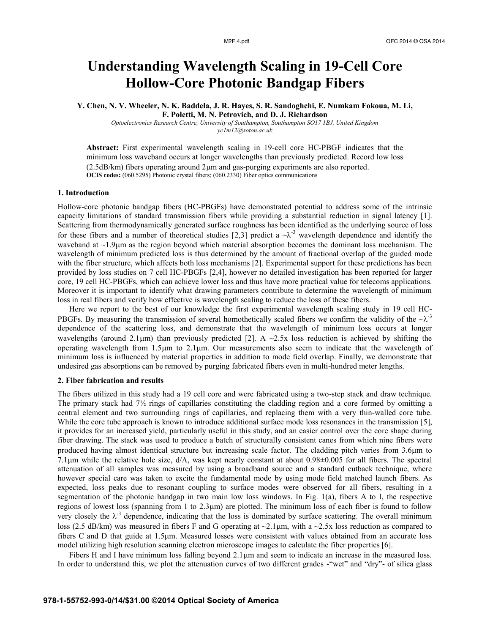# **Understanding Wavelength Scaling in 19-Cell Core Hollow-Core Photonic Bandgap Fibers**

**Y. Chen, N. V. Wheeler, N. K. Baddela, J. R. Hayes, S. R. Sandoghchi, E. Numkam Fokoua, M. Li, F. Poletti, M. N. Petrovich, and D. J. Richardson**

*Optoelectronics Research Centre, University of Southampton, Southampton SO17 1BJ, United Kingdom yc1m12@soton.ac.uk*

**Abstract:** First experimental wavelength scaling in 19-cell core HC-PBGF indicates that the minimum loss waveband occurs at longer wavelengths than previously predicted. Record low loss  $(2.5dB/km)$  fibers operating around  $2\mu m$  and gas-purging experiments are also reported. **OCIS codes:** (060.5295) Photonic crystal fibers; (060.2330) Fiber optics communications

## **1. Introduction**

Hollow-core photonic bandgap fibers (HC-PBGFs) have demonstrated potential to address some of the intrinsic capacity limitations of standard transmission fibers while providing a substantial reduction in signal latency [1]. Scattering from thermodynamically generated surface roughness has been identified as the underlying source of loss for these fibers and a number of theoretical studies [2,3] predict a  $-\lambda^3$  wavelength dependence and identify the waveband at  $\sim$ 1.9 $\mu$ m as the region beyond which material absorption becomes the dominant loss mechanism. The wavelength of minimum predicted loss is thus determined by the amount of fractional overlap of the guided mode with the fiber structure, which affects both loss mechanisms [2]. Experimental support for these predictions has been provided by loss studies on 7 cell HC-PBGFs [2,4], however no detailed investigation has been reported for larger core, 19 cell HC-PBGFs, which can achieve lower loss and thus have more practical value for telecoms applications. Moreover it is important to identify what drawing parameters contribute to determine the wavelength of minimum loss in real fibers and verify how effective is wavelength scaling to reduce the loss of these fibers.

Here we report to the best of our knowledge the first experimental wavelength scaling study in 19 cell HC-PBGFs. By measuring the transmission of several homothetically scaled fibers we confirm the validity of the  $-\lambda$ <sup>3</sup> dependence of the scattering loss, and demonstrate that the wavelength of minimum loss occurs at longer wavelengths (around 2.1 $\mu$ m) than previously predicted [2]. A ~2.5x loss reduction is achieved by shifting the operating wavelength from 1.5m to 2.1m. Our measurements also seem to indicate that the wavelength of minimum loss is influenced by material properties in addition to mode field overlap. Finally, we demonstrate that undesired gas absorptions can be removed by purging fabricated fibers even in multi-hundred meter lengths.

### **2. Fiber fabrication and results**

The fibers utilized in this study had a 19 cell core and were fabricated using a two-step stack and draw technique. The primary stack had  $7\frac{1}{2}$  rings of capillaries constituting the cladding region and a core formed by omitting a central element and two surrounding rings of capillaries, and replacing them with a very thin-walled core tube. While the core tube approach is known to introduce additional surface mode loss resonances in the transmission [5], it provides for an increased yield, particularly useful in this study, and an easier control over the core shape during fiber drawing. The stack was used to produce a batch of structurally consistent canes from which nine fibers were produced having almost identical structure but increasing scale factor. The cladding pitch varies from 3.6 $\mu$ m to 7.1um while the relative hole size,  $d/\Lambda$ , was kept nearly constant at about 0.98 $\pm$ 0.005 for all fibers. The spectral attenuation of all samples was measured by using a broadband source and a standard cutback technique, where however special care was taken to excite the fundamental mode by using mode field matched launch fibers. As expected, loss peaks due to resonant coupling to surface modes were observed for all fibers, resulting in a segmentation of the photonic bandgap in two main low loss windows. In Fig. 1(a), fibers A to I, the respective regions of lowest loss (spanning from 1 to 2.3µm) are plotted. The minimum loss of each fiber is found to follow very closely the  $\lambda^{-3}$  dependence, indicating that the loss is dominated by surface scattering. The overall minimum loss (2.5 dB/km) was measured in fibers F and G operating at  $\sim$ 2.1 $\mu$ m, with a  $\sim$ 2.5x loss reduction as compared to fibers C and D that guide at 1.5m. Measured losses were consistent with values obtained from an accurate loss model utilizing high resolution scanning electron microscope images to calculate the fiber properties [6].

Fibers H and I have minimum loss falling beyond  $2.1 \mu m$  and seem to indicate an increase in the measured loss. In order to understand this, we plot the attenuation curves of two different grades -"wet" and "dry"- of silica glass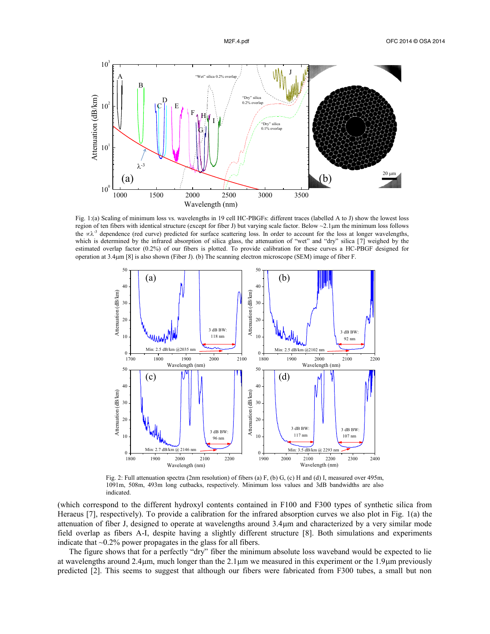

Fig. 1:(a) Scaling of minimum loss vs. wavelengths in 19 cell HC-PBGFs: different traces (labelled A to J) show the lowest loss region of ten fibers with identical structure (except for fiber J) but varying scale factor. Below  $\sim$ 2.1 $\mu$ m the minimum loss follows the  $\alpha \lambda^3$  dependence (red curve) predicted for surface scattering loss. In order to account for the loss at longer wavelengths, which is determined by the infrared absorption of silica glass, the attenuation of "wet" and "dry" silica [7] weighed by the estimated overlap factor (0.2%) of our fibers is plotted. To provide calibration for these curves a HC-PBGF designed for operation at 3.4m [8] is also shown (Fiber J). (b) The scanning electron microscope (SEM) image of fiber F.



Fig. 2: Full attenuation spectra (2nm resolution) of fibers (a) F, (b) G, (c) H and (d) I, measured over 495m, 1091m, 508m, 493m long cutbacks, respectively. Minimum loss values and 3dB bandwidths are also indicated.

(which correspond to the different hydroxyl contents contained in F100 and F300 types of synthetic silica from Heraeus [7], respectively). To provide a calibration for the infrared absorption curves we also plot in Fig. 1(a) the attenuation of fiber J, designed to operate at wavelengths around 3.4m and characterized by a very similar mode field overlap as fibers A-I, despite having a slightly different structure [8]. Both simulations and experiments indicate that  $\sim 0.2\%$  power propagates in the glass for all fibers.

The figure shows that for a perfectly "dry" fiber the minimum absolute loss waveband would be expected to lie at wavelengths around  $2.4\mu$ m, much longer than the  $2.1\mu$ m we measured in this experiment or the 1.9 $\mu$ m previously predicted [2]. This seems to suggest that although our fibers were fabricated from F300 tubes, a small but non